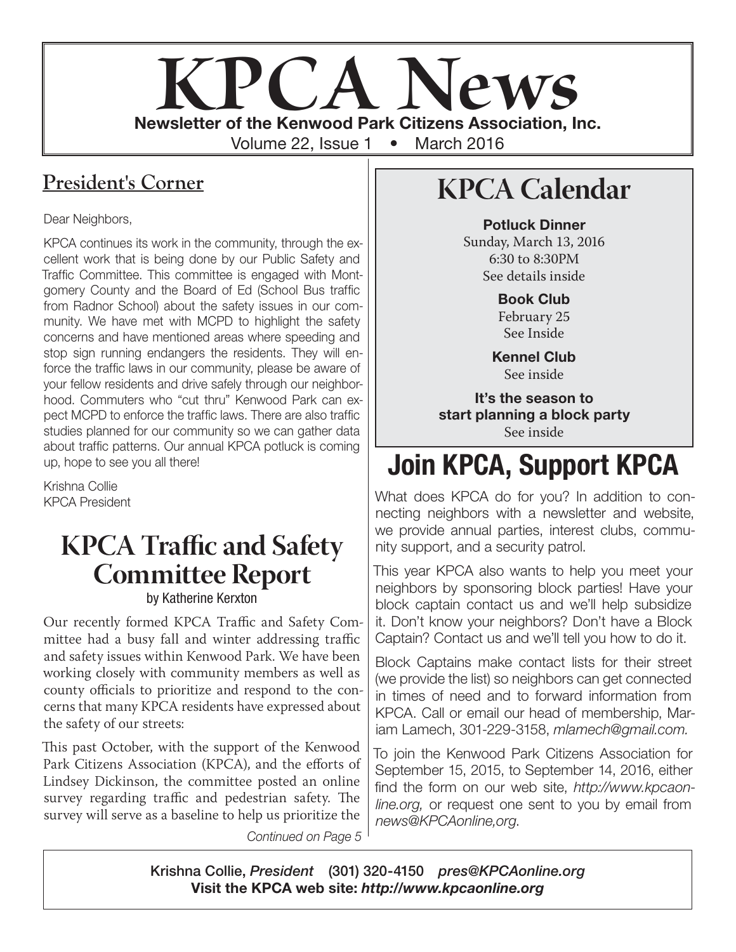# **KPCA Newsletter of the Kenwood Park Citizens Association, Inc.** Volume 22, Issue 1 • March 2016

## **President's Corner**

Dear Neighbors,

KPCA continues its work in the community, through the excellent work that is being done by our Public Safety and Traffic Committee. This committee is engaged with Montgomery County and the Board of Ed (School Bus traffic from Radnor School) about the safety issues in our community. We have met with MCPD to highlight the safety concerns and have mentioned areas where speeding and stop sign running endangers the residents. They will enforce the traffic laws in our community, please be aware of your fellow residents and drive safely through our neighborhood. Commuters who "cut thru" Kenwood Park can expect MCPD to enforce the traffic laws. There are also traffic studies planned for our community so we can gather data about traffic patterns. Our annual KPCA potluck is coming up, hope to see you all there!

Krishna Collie KPCA President

## **KPCA Traffic and Safety Committee Report** by Katherine Kerxton

Our recently formed KPCA Traffic and Safety Committee had a busy fall and winter addressing traffic and safety issues within Kenwood Park. We have been working closely with community members as well as county officials to prioritize and respond to the concerns that many KPCA residents have expressed about the safety of our streets:

This past October, with the support of the Kenwood Park Citizens Association (KPCA), and the efforts of Lindsey Dickinson, the committee posted an online survey regarding traffic and pedestrian safety. The survey will serve as a baseline to help us prioritize the

*Continued on Page 5*

# **KPCA Calendar**

Potluck Dinner Sunday, March 13, 2016 6:30 to 8:30PM See details inside

> Book Club February 25 See Inside

Kennel Club See inside

It's the season to start planning a block party See inside

# Join KPCA, Support KPCA

What does KPCA do for you? In addition to connecting neighbors with a newsletter and website, we provide annual parties, interest clubs, community support, and a security patrol.

This year KPCA also wants to help you meet your neighbors by sponsoring block parties! Have your block captain contact us and we'll help subsidize it. Don't know your neighbors? Don't have a Block Captain? Contact us and we'll tell you how to do it.

Block Captains make contact lists for their street (we provide the list) so neighbors can get connected in times of need and to forward information from KPCA. Call or email our head of membership, Mariam Lamech, 301-229-3158, *mlamech@gmail.com.*

To join the Kenwood Park Citizens Association for September 15, 2015, to September 14, 2016, either find the form on our web site, *http://www.kpcaonline.org,* or request one sent to you by email from *news@KPCAonline,org*.

Krishna Collie, *President* (301) 320-4150 *pres@KPCAonline.org* Visit the KPCA web site: *http://www.kpcaonline.org*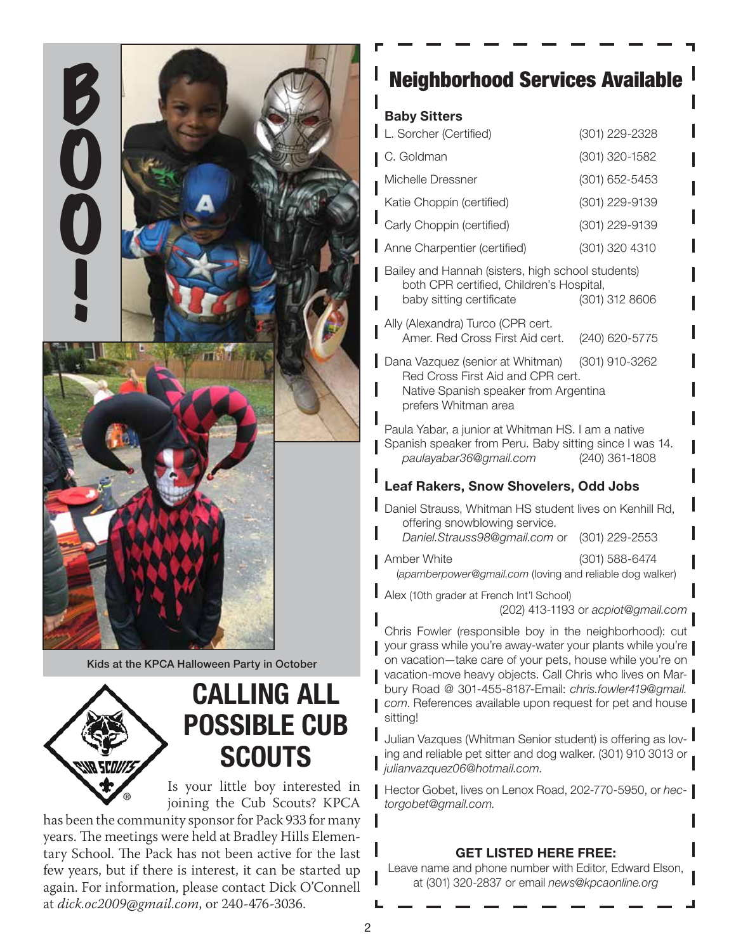

Kids at the KPCA Halloween Party in October



# CALLING ALL POSSIBLE CUB **SCOUTS**

Is your little boy interested in joining the Cub Scouts? KPCA

has been the community sponsor for Pack 933 for many years. The meetings were held at Bradley Hills Elementary School. The Pack has not been active for the last few years, but if there is interest, it can be started up again. For information, please contact Dick O'Connell at *dick.oc2009@gmail.com*, or 240-476-3036.

## Neighborhood Services Available

#### Baby Sitters

| L. Sorcher (Certified)                                                                                                                                    | (301) 229-2328 |
|-----------------------------------------------------------------------------------------------------------------------------------------------------------|----------------|
| C. Goldman                                                                                                                                                | (301) 320-1582 |
| Michelle Dressner                                                                                                                                         | (301) 652-5453 |
| Katie Choppin (certified)                                                                                                                                 | (301) 229-9139 |
| Carly Choppin (certified)                                                                                                                                 | (301) 229-9139 |
| Anne Charpentier (certified)                                                                                                                              | (301) 320 4310 |
| Bailey and Hannah (sisters, high school students)<br>both CPR certified, Children's Hospital,<br>(301) 312 8606<br>baby sitting certificate               |                |
| Ally (Alexandra) Turco (CPR cert.<br>Amer. Red Cross First Aid cert.                                                                                      | (240) 620-5775 |
| Dana Vazquez (senior at Whitman) (301) 910-3262<br>Red Cross First Aid and CPR cert.<br>Native Spanish speaker from Argentina<br>prefers Whitman area     |                |
| Paula Yabar, a junior at Whitman HS. I am a native<br>Spanish speaker from Peru. Baby sitting since I was 14.<br>paulayabar36@gmail.com<br>(240) 361-1808 |                |

#### Leaf Rakers, Snow Shovelers, Odd Jobs

Daniel Strauss, Whitman HS student lives on Kenhill Rd, offering snowblowing service. *Daniel.Strauss98@gmail.com* or (301) 229-2553

Amber White (301) 588-6474

(*apamberpower@gmail.com* (loving and reliable dog walker)

Alex (10th grader at French Int'l School) (202) 413-1193 or *acpiot@gmail.com*

Chris Fowler (responsible boy in the neighborhood): cut your grass while you're away-water your plants while you're on vacation—take care of your pets, house while you're on vacation-move heavy objects. Call Chris who lives on Marbury Road @ 301-455-8187-Email: *chris.fowler419@gmail. com*. References available upon request for pet and house sitting!

Julian Vazques (Whitman Senior student) is offering as loving and reliable pet sitter and dog walker. (301) 910 3013 or *julianvazquez06@hotmail.com*.

Hector Gobet, lives on Lenox Road, 202-770-5950, or *hectorgobet@gmail.com.*

#### GET LISTED HERE FREE:

Leave name and phone number with Editor, Edward Elson, at (301) 320-2837 or email *news@kpcaonline.org*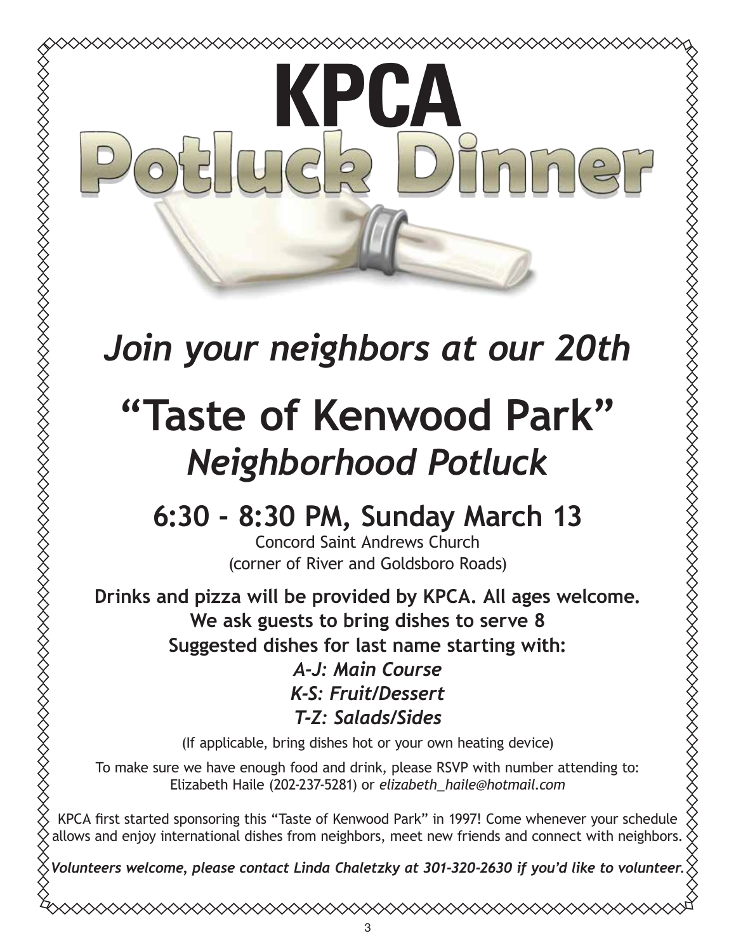# **KPCA**

◇◇◇◇◇◇◇◇◇◇◇◇◇◇◇◇◇◇◇

# *Join your neighbors at our 20th*

# **"Taste of Kenwood Park"** *Neighborhood Potluck*

XXXXXXXXXXXXXXXXXXXXXXXXXXXXX

# **6:30 - 8:30 PM, Sunday March 13**

Concord Saint Andrews Church (corner of River and Goldsboro Roads)

**Drinks and pizza will be provided by KPCA. All ages welcome. We ask guests to bring dishes to serve 8 Suggested dishes for last name starting with:**

*A-J: Main Course K-S: Fruit/Dessert T-Z: Salads/Sides*

(If applicable, bring dishes hot or your own heating device)

To make sure we have enough food and drink, please RSVP with number attending to: Elizabeth Haile (202-237-5281) or *elizabeth\_haile@hotmail.com*

KPCA first started sponsoring this "Taste of Kenwood Park" in 1997! Come whenever your schedule allows and enjoy international dishes from neighbors, meet new friends and connect with neighbors.

*Volunteers welcome, please contact Linda Chaletzky at 301-320-2630 if you'd like to volunteer.*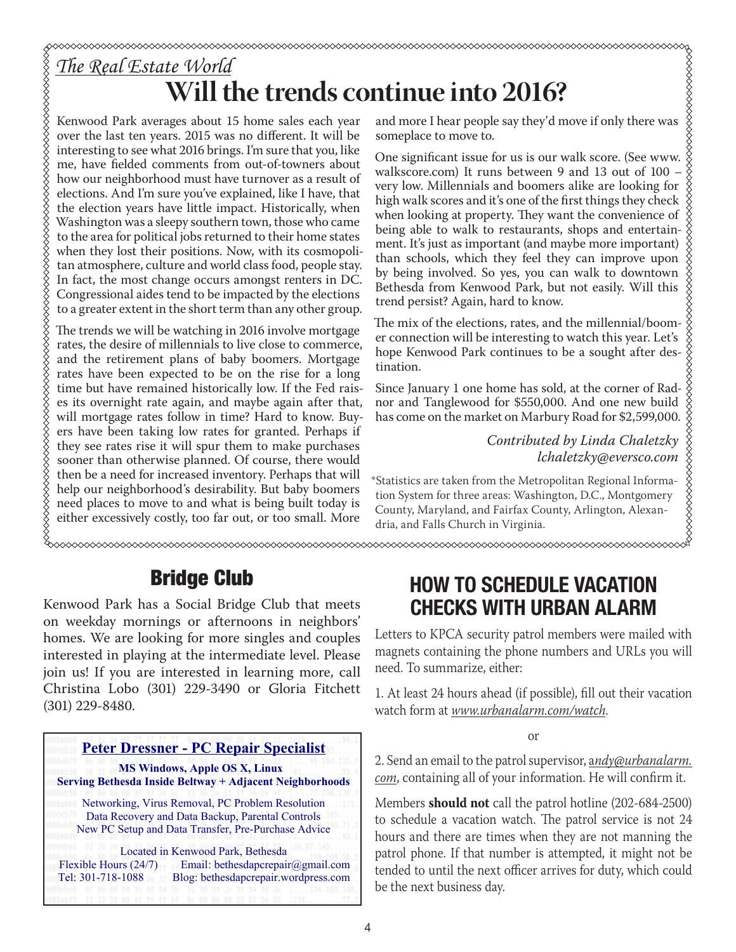# *The Real Estate World* **Will the trends continue into 2016?**

Kenwood Park averages about 15 home sales each year over the last ten years. 2015 was no different. It will be interesting to see what 2016 brings. I'm sure that you, like me, have fielded comments from out-of-towners about how our neighborhood must have turnover as a result of elections. And I'm sure you've explained, like I have, that the election years have little impact. Historically, when Washington was a sleepy southern town, those who came to the area for political jobs returned to their home states when they lost their positions. Now, with its cosmopolitan atmosphere, culture and world class food, people stay. In fact, the most change occurs amongst renters in DC. Congressional aides tend to be impacted by the elections to a greater extent in the short term than any other group.

The trends we will be watching in 2016 involve mortgage rates, the desire of millennials to live close to commerce, and the retirement plans of baby boomers. Mortgage rates have been expected to be on the rise for a long time but have remained historically low. If the Fed raises its overnight rate again, and maybe again after that, will mortgage rates follow in time? Hard to know. Buyers have been taking low rates for granted. Perhaps if they see rates rise it will spur them to make purchases sooner than otherwise planned. Of course, there would then be a need for increased inventory. Perhaps that will help our neighborhood's desirability. But baby boomers need places to move to and what is being built today is either excessively costly, too far out, or too small. More

and more I hear people say they'd move if only there was someplace to move to. someplace to move to.

One significant issue for us is our walk score. (See www. walkscore.com) It runs between 9 and 13 out of 100 – very low. Millennials and boomers alike are looking for high walk scores and it's one of the first things they check when looking at property. They want the convenience of being able to walk to restaurants, shops and entertainment. It's just as important (and maybe more important) than schools, which they feel they can improve upon by being involved. So yes, you can walk to downtown Bethesda from Kenwood Park, but not easily. Will this trend persist? Again, hard to know.

The mix of the elections, rates, and the millennial/boomer connection will be interesting to watch this year. Let's hope Kenwood Park continues to be a sought after destination.

Since January 1 one home has sold, at the corner of Radnor and Tanglewood for \$550,000. And one new build has come on the market on Marbury Road for \$2,599,000.

> *Contributed by Linda Chaletzky lchaletzky@eversco.com*

\*Statistics are taken from the Metropolitan Regional Information System for three areas: Washington, D.C., Montgomery County, Maryland, and Fairfax County, Arlington, Alexandria, and Falls Church in Virginia.

## Bridge Club

Kenwood Park has a Social Bridge Club that meets on weekday mornings or afternoons in neighbors' homes. We are looking for more singles and couples interested in playing at the intermediate level. Please join us! If you are interested in learning more, call Christina Lobo (301) 229-3490 or Gloria Fitchett (301) 229-8480.



#### HOW TO SCHEDULE VACATION CHECKS WITH URBAN ALARM

Letters to KPCA security patrol members were mailed with magnets containing the phone numbers and URLs you will need. To summarize, either:

1. At least 24 hours ahead (if possible), fill out their vacation watch form at *www.urbanalarm.com/watch*.

or

2. Send an email to the patrol supervisor, a*ndy@urbanalarm. com*, containing all of your information. He will confirm it.

Members **should not** call the patrol hotline (202-684-2500) to schedule a vacation watch. The patrol service is not 24 hours and there are times when they are not manning the patrol phone. If that number is attempted, it might not be tended to until the next officer arrives for duty, which could be the next business day.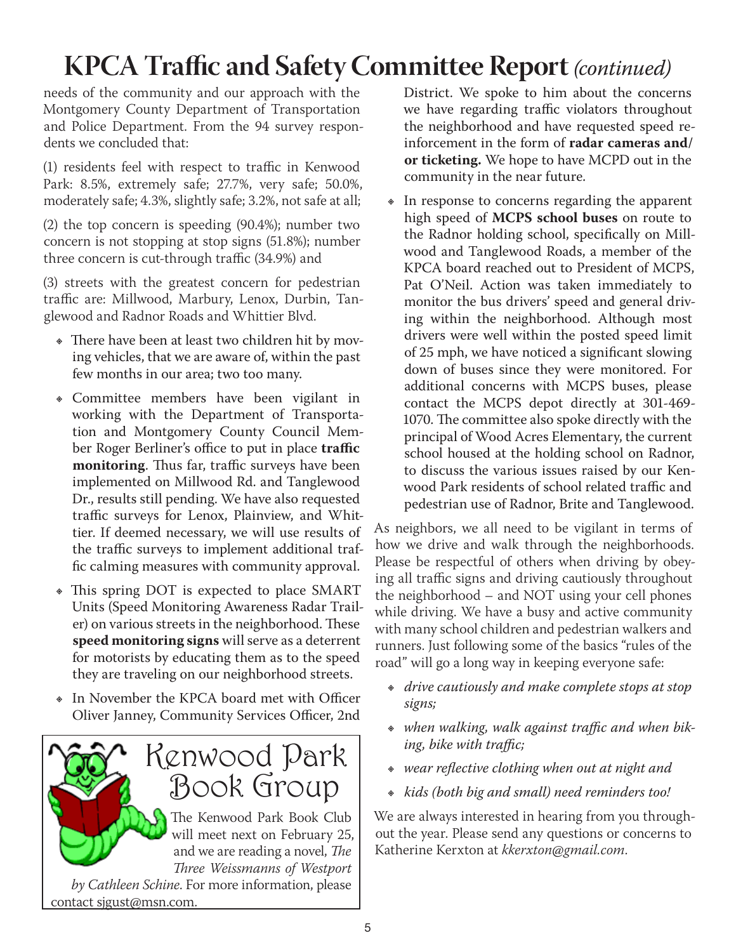# **KPCA Traffic and Safety Committee Report** *(continued)*

needs of the community and our approach with the Montgomery County Department of Transportation and Police Department. From the 94 survey respondents we concluded that:

(1) residents feel with respect to traffic in Kenwood Park: 8.5%, extremely safe; 27.7%, very safe; 50.0%, moderately safe; 4.3%, slightly safe; 3.2%, not safe at all;

(2) the top concern is speeding (90.4%); number two concern is not stopping at stop signs (51.8%); number three concern is cut-through traffic (34.9%) and

(3) streets with the greatest concern for pedestrian traffic are: Millwood, Marbury, Lenox, Durbin, Tanglewood and Radnor Roads and Whittier Blvd.

- There have been at least two children hit by moving vehicles, that we are aware of, within the past few months in our area; two too many.
- Ε Committee members have been vigilant in working with the Department of Transportation and Montgomery County Council Member Roger Berliner's office to put in place **traffic monitoring**. Thus far, traffic surveys have been implemented on Millwood Rd. and Tanglewood Dr., results still pending. We have also requested traffic surveys for Lenox, Plainview, and Whittier. If deemed necessary, we will use results of the traffic surveys to implement additional traffic calming measures with community approval.
- \* This spring DOT is expected to place SMART Units (Speed Monitoring Awareness Radar Trailer) on various streets in the neighborhood. These **speed monitoring signs** will serve as a deterrent for motorists by educating them as to the speed they are traveling on our neighborhood streets.
- In November the KPCA board met with Officer Oliver Janney, Community Services Officer, 2nd



District. We spoke to him about the concerns we have regarding traffic violators throughout the neighborhood and have requested speed reinforcement in the form of **radar cameras and/ or ticketing.** We hope to have MCPD out in the community in the near future.

• In response to concerns regarding the apparent high speed of **MCPS school buses** on route to the Radnor holding school, specifically on Millwood and Tanglewood Roads, a member of the KPCA board reached out to President of MCPS, Pat O'Neil. Action was taken immediately to monitor the bus drivers' speed and general driving within the neighborhood. Although most drivers were well within the posted speed limit of 25 mph, we have noticed a significant slowing down of buses since they were monitored. For additional concerns with MCPS buses, please contact the MCPS depot directly at 301-469- 1070. The committee also spoke directly with the principal of Wood Acres Elementary, the current school housed at the holding school on Radnor, to discuss the various issues raised by our Kenwood Park residents of school related traffic and pedestrian use of Radnor, Brite and Tanglewood.

As neighbors, we all need to be vigilant in terms of how we drive and walk through the neighborhoods. Please be respectful of others when driving by obeying all traffic signs and driving cautiously throughout the neighborhood – and NOT using your cell phones while driving. We have a busy and active community with many school children and pedestrian walkers and runners. Just following some of the basics "rules of the road" will go a long way in keeping everyone safe:

- Ε *drive cautiously and make complete stops at stop signs;*
- Ε *when walking, walk against traffic and when biking, bike with traffic;*
- Ε *wear reflective clothing when out at night and*
- Ε *kids (both big and small) need reminders too!*

We are always interested in hearing from you throughout the year. Please send any questions or concerns to Katherine Kerxton at *kkerxton@gmail.com*.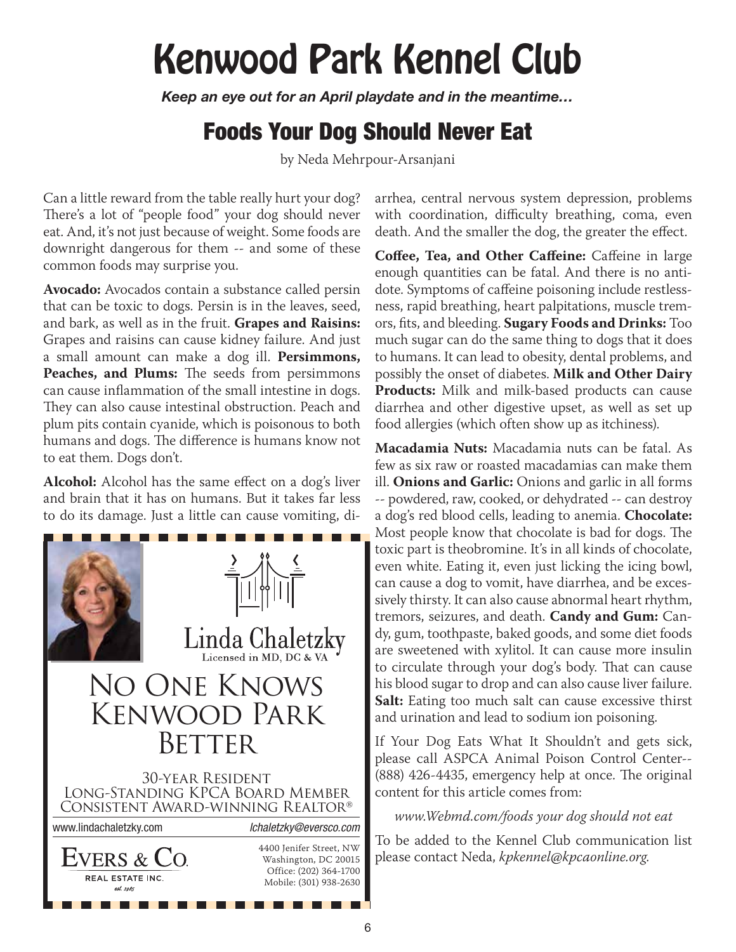# Kenwood Park Kennel Club

*Keep an eye out for an April playdate and in the meantime…*

# Foods Your Dog Should Never Eat

by Neda Mehrpour-Arsanjani

Can a little reward from the table really hurt your dog? There's a lot of "people food" your dog should never eat. And, it's not just because of weight. Some foods are downright dangerous for them -- and some of these common foods may surprise you.

**Avocado:** Avocados contain a substance called persin that can be toxic to dogs. Persin is in the leaves, seed, and bark, as well as in the fruit. **Grapes and Raisins:**  Grapes and raisins can cause kidney failure. And just a small amount can make a dog ill. **Persimmons, Peaches, and Plums:** The seeds from persimmons can cause inflammation of the small intestine in dogs. They can also cause intestinal obstruction. Peach and plum pits contain cyanide, which is poisonous to both humans and dogs. The difference is humans know not to eat them. Dogs don't.

**Alcohol:** Alcohol has the same effect on a dog's liver and brain that it has on humans. But it takes far less to do its damage. Just a little can cause vomiting, di-



arrhea, central nervous system depression, problems with coordination, difficulty breathing, coma, even death. And the smaller the dog, the greater the effect.

**Coffee, Tea, and Other Caffeine:** Caffeine in large enough quantities can be fatal. And there is no antidote. Symptoms of caffeine poisoning include restlessness, rapid breathing, heart palpitations, muscle tremors, fits, and bleeding. **Sugary Foods and Drinks:** Too much sugar can do the same thing to dogs that it does to humans. It can lead to obesity, dental problems, and possibly the onset of diabetes. **Milk and Other Dairy Products:** Milk and milk-based products can cause diarrhea and other digestive upset, as well as set up food allergies (which often show up as itchiness).

**Macadamia Nuts:** Macadamia nuts can be fatal. As few as six raw or roasted macadamias can make them ill. **Onions and Garlic:** Onions and garlic in all forms -- powdered, raw, cooked, or dehydrated -- can destroy a dog's red blood cells, leading to anemia. **Chocolate:**  Most people know that chocolate is bad for dogs. The toxic part is theobromine. It's in all kinds of chocolate, even white. Eating it, even just licking the icing bowl, can cause a dog to vomit, have diarrhea, and be excessively thirsty. It can also cause abnormal heart rhythm, tremors, seizures, and death. **Candy and Gum:** Candy, gum, toothpaste, baked goods, and some diet foods are sweetened with xylitol. It can cause more insulin to circulate through your dog's body. That can cause his blood sugar to drop and can also cause liver failure. **Salt:** Eating too much salt can cause excessive thirst and urination and lead to sodium ion poisoning.

If Your Dog Eats What It Shouldn't and gets sick, please call ASPCA Animal Poison Control Center-- (888) 426-4435, emergency help at once. The original content for this article comes from:

*www.Webmd.com/foods your dog should not eat*

To be added to the Kennel Club communication list please contact Neda, *kpkennel@kpcaonline.org*.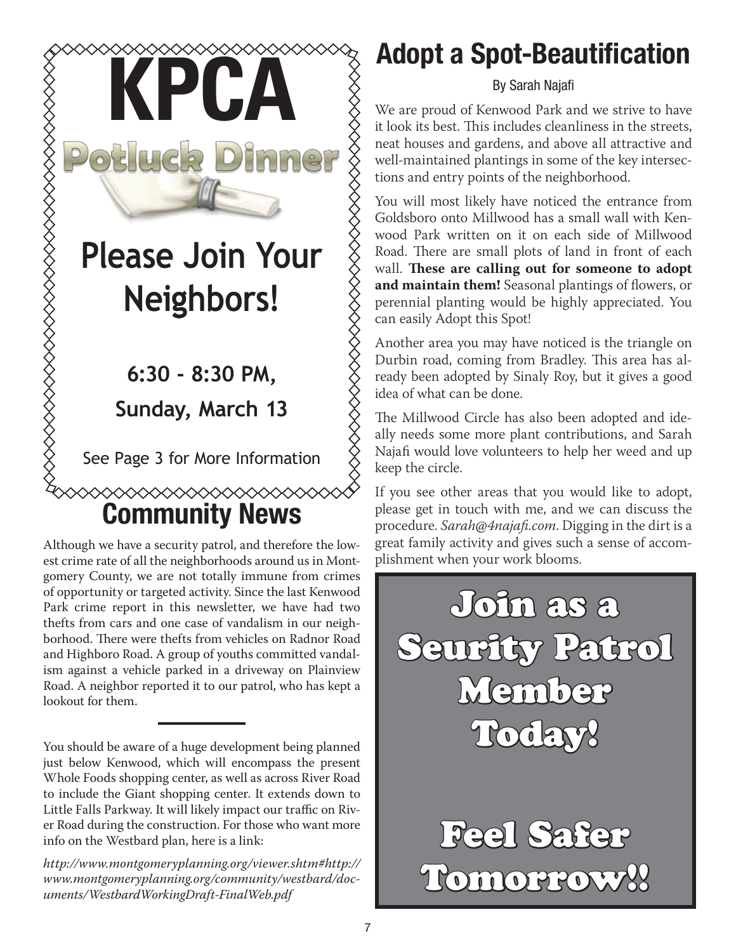

Although we have a security patrol, and therefore the lowest crime rate of all the neighborhoods around us in Montgomery County, we are not totally immune from crimes of opportunity or targeted activity. Since the last Kenwood Park crime report in this newsletter, we have had two thefts from cars and one case of vandalism in our neighborhood. There were thefts from vehicles on Radnor Road and Highboro Road. A group of youths committed vandalism against a vehicle parked in a driveway on Plainview Road. A neighbor reported it to our patrol, who has kept a lookout for them.

You should be aware of a huge development being planned just below Kenwood, which will encompass the present Whole Foods shopping center, as well as across River Road to include the Giant shopping center. It extends down to Little Falls Parkway. It will likely impact our traffic on River Road during the construction. For those who want more info on the Westbard plan, here is a link:

*http://www.montgomeryplanning.org/viewer.shtm#http:// www.montgomeryplanning.org/community/westbard/documents/WestbardWorkingDraft-FinalWeb.pdf*

# Adopt a Spot-Beautification

By Sarah Najafi

We are proud of Kenwood Park and we strive to have it look its best. This includes cleanliness in the streets, neat houses and gardens, and above all attractive and well-maintained plantings in some of the key intersections and entry points of the neighborhood.

You will most likely have noticed the entrance from Goldsboro onto Millwood has a small wall with Kenwood Park written on it on each side of Millwood Road. There are small plots of land in front of each wall. **These are calling out for someone to adopt and maintain them!** Seasonal plantings of flowers, or perennial planting would be highly appreciated. You can easily Adopt this Spot!

Another area you may have noticed is the triangle on Durbin road, coming from Bradley. This area has already been adopted by Sinaly Roy, but it gives a good idea of what can be done.

The Millwood Circle has also been adopted and ideally needs some more plant contributions, and Sarah Najafi would love volunteers to help her weed and up keep the circle.

If you see other areas that you would like to adopt, please get in touch with me, and we can discuss the procedure. *Sarah@4najafi.com*. Digging in the dirt is a great family activity and gives such a sense of accomplishment when your work blooms.